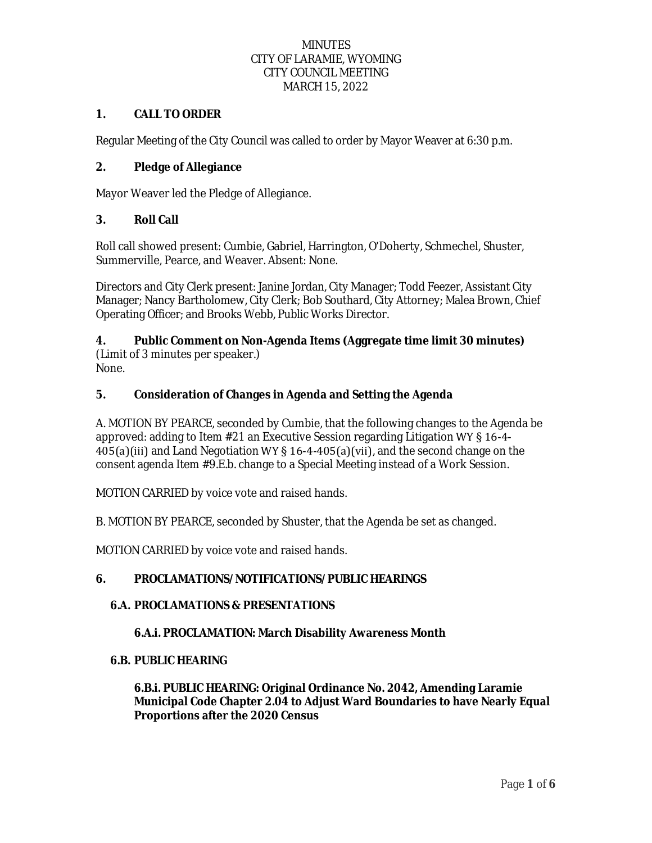### **1. CALL TO ORDER**

Regular Meeting of the City Council was called to order by Mayor Weaver at 6:30 p.m.

# **2. Pledge of Allegiance**

Mayor Weaver led the Pledge of Allegiance.

### **3. Roll Call**

Roll call showed present: Cumbie, Gabriel, Harrington, O'Doherty, Schmechel, Shuster, Summerville, Pearce, and Weaver. Absent: None.

Directors and City Clerk present: Janine Jordan, City Manager; Todd Feezer, Assistant City Manager; Nancy Bartholomew, City Clerk; Bob Southard, City Attorney; Malea Brown, Chief Operating Officer; and Brooks Webb, Public Works Director.

# **4. Public Comment on Non-Agenda Items (Aggregate time limit 30 minutes)** (Limit of 3 minutes per speaker.)

None.

# **5. Consideration of Changes in Agenda and Setting the Agenda**

A. MOTION BY PEARCE, seconded by Cumbie, that the following changes to the Agenda be approved: adding to Item #21 an Executive Session regarding Litigation WY § 16-4- 405(a)(iii) and Land Negotiation WY § 16-4-405(a)(vii), and the second change on the consent agenda Item #9.E.b. change to a Special Meeting instead of a Work Session.

MOTION CARRIED by voice vote and raised hands.

B. MOTION BY PEARCE, seconded by Shuster, that the Agenda be set as changed.

MOTION CARRIED by voice vote and raised hands.

### **6. PROCLAMATIONS/NOTIFICATIONS/PUBLIC HEARINGS**

### **6.A. PROCLAMATIONS & PRESENTATIONS**

### **6.A.i. PROCLAMATION: March Disability Awareness Month**

#### **6.B. PUBLIC HEARING**

**6.B.i. PUBLIC HEARING: Original Ordinance No. 2042, Amending Laramie Municipal Code Chapter 2.04 to Adjust Ward Boundaries to have Nearly Equal Proportions after the 2020 Census**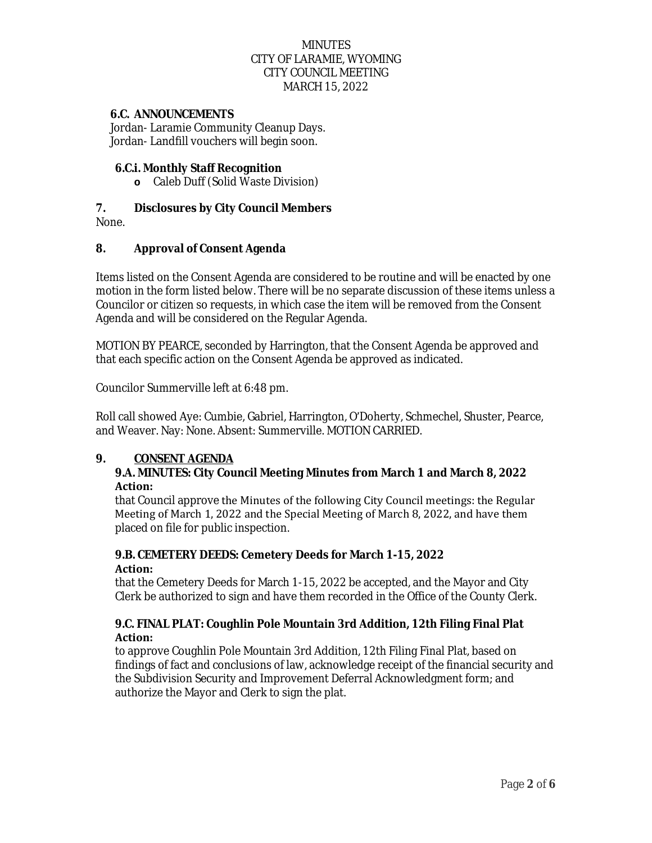#### **6.C. ANNOUNCEMENTS**

Jordan- Laramie Community Cleanup Days. Jordan- Landfill vouchers will begin soon.

#### **6.C.i. Monthly Staff Recognition**

**o** Caleb Duff (Solid Waste Division)

### **7. Disclosures by City Council Members**

None.

#### **8. Approval of Consent Agenda**

Items listed on the Consent Agenda are considered to be routine and will be enacted by one motion in the form listed below. There will be no separate discussion of these items unless a Councilor or citizen so requests, in which case the item will be removed from the Consent Agenda and will be considered on the Regular Agenda.

MOTION BY PEARCE, seconded by Harrington, that the Consent Agenda be approved and that each specific action on the Consent Agenda be approved as indicated.

Councilor Summerville left at 6:48 pm.

Roll call showed Aye: Cumbie, Gabriel, Harrington, O'Doherty, Schmechel, Shuster, Pearce, and Weaver. Nay: None. Absent: Summerville. MOTION CARRIED.

### **9. CONSENT AGENDA**

#### **9.A. MINUTES: City Council Meeting Minutes from March 1 and March 8, 2022 Action:**

that Council approve the Minutes of the following City Council meetings: the Regular Meeting of March 1, 2022 and the Special Meeting of March 8, 2022, and have them placed on file for public inspection.

### **9.B. CEMETERY DEEDS: Cemetery Deeds for March 1-15, 2022 Action:**

that the Cemetery Deeds for March 1-15, 2022 be accepted, and the Mayor and City Clerk be authorized to sign and have them recorded in the Office of the County Clerk.

#### **9.C. FINAL PLAT: Coughlin Pole Mountain 3rd Addition, 12th Filing Final Plat Action:**

to approve Coughlin Pole Mountain 3rd Addition, 12th Filing Final Plat, based on findings of fact and conclusions of law, acknowledge receipt of the financial security and the Subdivision Security and Improvement Deferral Acknowledgment form; and authorize the Mayor and Clerk to sign the plat.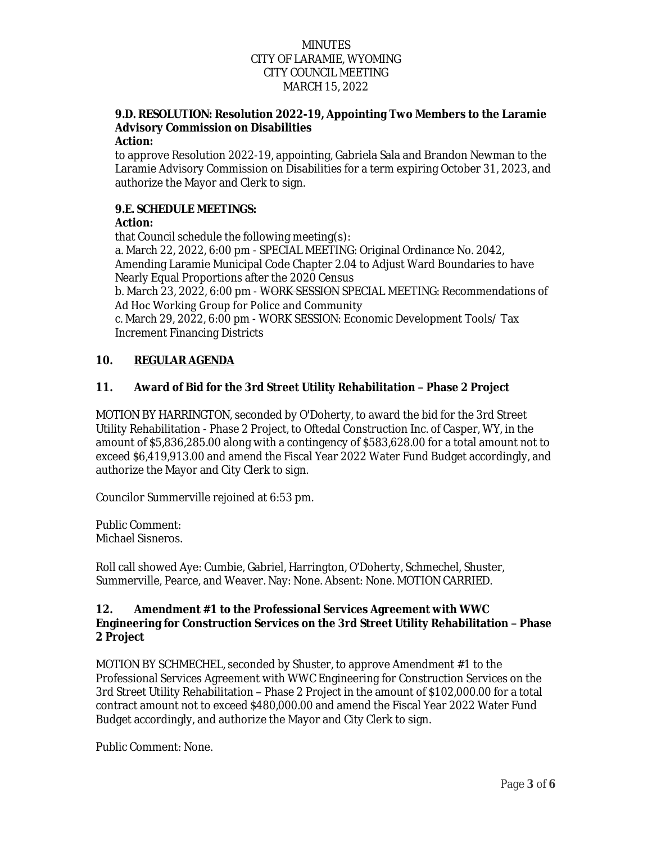# **9.D. RESOLUTION: Resolution 2022-19, Appointing Two Members to the Laramie Advisory Commission on Disabilities**

### **Action:**

to approve Resolution 2022-19, appointing, Gabriela Sala and Brandon Newman to the Laramie Advisory Commission on Disabilities for a term expiring October 31, 2023, and authorize the Mayor and Clerk to sign.

## **9.E. SCHEDULE MEETINGS:**

# **Action:**

that Council schedule the following meeting(s):

a. March 22, 2022, 6:00 pm - SPECIAL MEETING: Original Ordinance No. 2042, Amending Laramie Municipal Code Chapter 2.04 to Adjust Ward Boundaries to have Nearly Equal Proportions after the 2020 Census

b. March 23, 2022, 6:00 pm - WORK SESSION SPECIAL MEETING: Recommendations of Ad Hoc Working Group for Police and Community

c. March 29, 2022, 6:00 pm - WORK SESSION: Economic Development Tools/ Tax Increment Financing Districts

# **10. REGULAR AGENDA**

# **11. Award of Bid for the 3rd Street Utility Rehabilitation – Phase 2 Project**

MOTION BY HARRINGTON, seconded by O'Doherty, to award the bid for the 3rd Street Utility Rehabilitation - Phase 2 Project, to Oftedal Construction Inc. of Casper, WY, in the amount of \$5,836,285.00 along with a contingency of \$583,628.00 for a total amount not to exceed \$6,419,913.00 and amend the Fiscal Year 2022 Water Fund Budget accordingly, and authorize the Mayor and City Clerk to sign.

Councilor Summerville rejoined at 6:53 pm.

Public Comment: Michael Sisneros.

Roll call showed Aye: Cumbie, Gabriel, Harrington, O'Doherty, Schmechel, Shuster, Summerville, Pearce, and Weaver. Nay: None. Absent: None. MOTION CARRIED.

#### **12. Amendment #1 to the Professional Services Agreement with WWC Engineering for Construction Services on the 3rd Street Utility Rehabilitation – Phase 2 Project**

MOTION BY SCHMECHEL, seconded by Shuster, to approve Amendment #1 to the Professional Services Agreement with WWC Engineering for Construction Services on the 3rd Street Utility Rehabilitation – Phase 2 Project in the amount of \$102,000.00 for a total contract amount not to exceed \$480,000.00 and amend the Fiscal Year 2022 Water Fund Budget accordingly, and authorize the Mayor and City Clerk to sign.

Public Comment: None.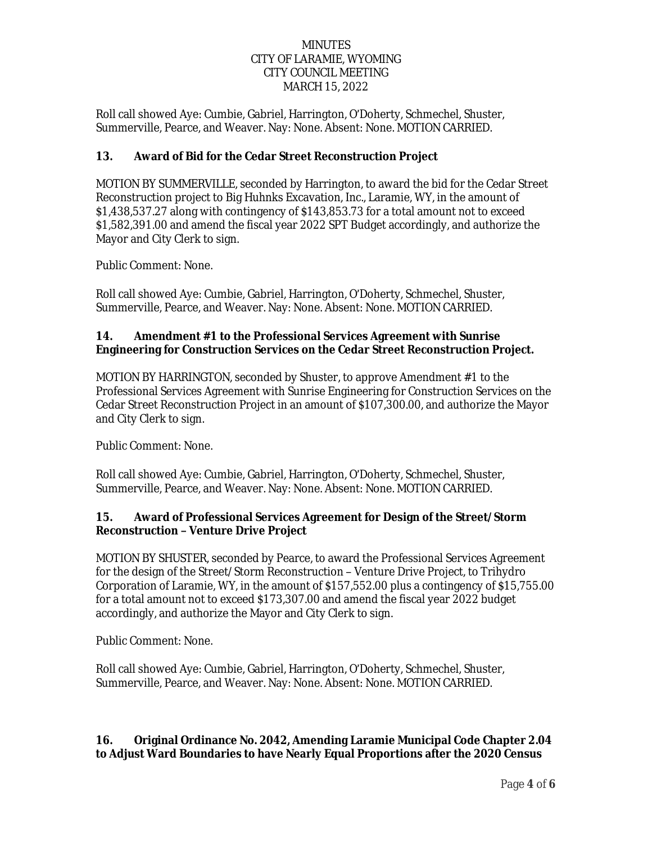Roll call showed Aye: Cumbie, Gabriel, Harrington, O'Doherty, Schmechel, Shuster, Summerville, Pearce, and Weaver. Nay: None. Absent: None. MOTION CARRIED.

## **13. Award of Bid for the Cedar Street Reconstruction Project**

MOTION BY SUMMERVILLE, seconded by Harrington, to award the bid for the Cedar Street Reconstruction project to Big Huhnks Excavation, Inc., Laramie, WY, in the amount of \$1,438,537.27 along with contingency of \$143,853.73 for a total amount not to exceed \$1,582,391.00 and amend the fiscal year 2022 SPT Budget accordingly, and authorize the Mayor and City Clerk to sign.

Public Comment: None.

Roll call showed Aye: Cumbie, Gabriel, Harrington, O'Doherty, Schmechel, Shuster, Summerville, Pearce, and Weaver. Nay: None. Absent: None. MOTION CARRIED.

#### **14. Amendment #1 to the Professional Services Agreement with Sunrise Engineering for Construction Services on the Cedar Street Reconstruction Project.**

MOTION BY HARRINGTON, seconded by Shuster, to approve Amendment #1 to the Professional Services Agreement with Sunrise Engineering for Construction Services on the Cedar Street Reconstruction Project in an amount of \$107,300.00, and authorize the Mayor and City Clerk to sign.

Public Comment: None.

Roll call showed Aye: Cumbie, Gabriel, Harrington, O'Doherty, Schmechel, Shuster, Summerville, Pearce, and Weaver. Nay: None. Absent: None. MOTION CARRIED.

### **15. Award of Professional Services Agreement for Design of the Street/Storm Reconstruction – Venture Drive Project**

MOTION BY SHUSTER, seconded by Pearce, to award the Professional Services Agreement for the design of the Street/Storm Reconstruction – Venture Drive Project, to Trihydro Corporation of Laramie, WY, in the amount of \$157,552.00 plus a contingency of \$15,755.00 for a total amount not to exceed \$173,307.00 and amend the fiscal year 2022 budget accordingly, and authorize the Mayor and City Clerk to sign.

Public Comment: None.

Roll call showed Aye: Cumbie, Gabriel, Harrington, O'Doherty, Schmechel, Shuster, Summerville, Pearce, and Weaver. Nay: None. Absent: None. MOTION CARRIED.

### **16. Original Ordinance No. 2042, Amending Laramie Municipal Code Chapter 2.04 to Adjust Ward Boundaries to have Nearly Equal Proportions after the 2020 Census**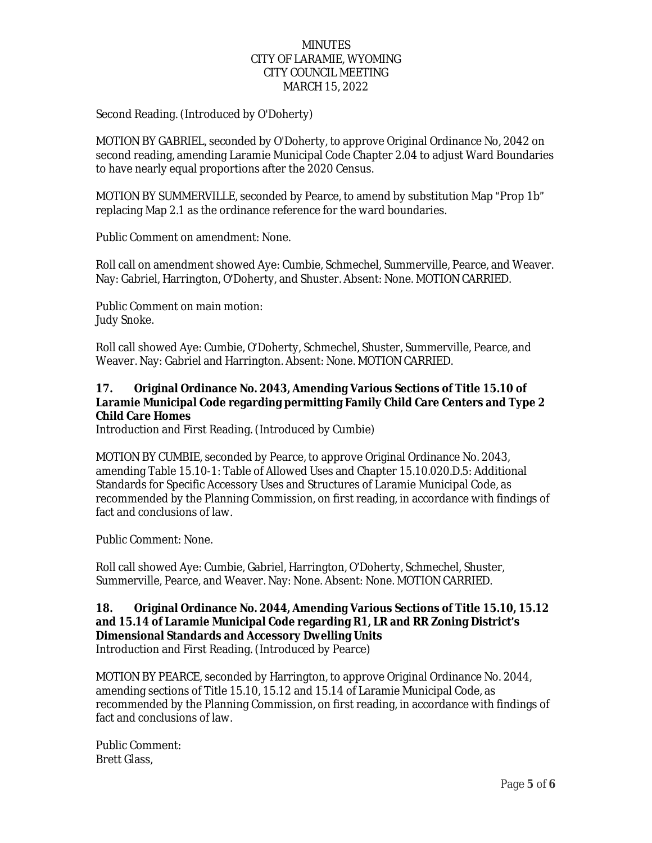Second Reading. (Introduced by O'Doherty)

MOTION BY GABRIEL, seconded by O'Doherty, to approve Original Ordinance No, 2042 on second reading, amending Laramie Municipal Code Chapter 2.04 to adjust Ward Boundaries to have nearly equal proportions after the 2020 Census.

MOTION BY SUMMERVILLE, seconded by Pearce, to amend by substitution Map "Prop 1b" replacing Map 2.1 as the ordinance reference for the ward boundaries.

Public Comment on amendment: None.

Roll call on amendment showed Aye: Cumbie, Schmechel, Summerville, Pearce, and Weaver. Nay: Gabriel, Harrington, O'Doherty, and Shuster. Absent: None. MOTION CARRIED.

Public Comment on main motion: Judy Snoke.

Roll call showed Aye: Cumbie, O'Doherty, Schmechel, Shuster, Summerville, Pearce, and Weaver. Nay: Gabriel and Harrington. Absent: None. MOTION CARRIED.

#### **17. Original Ordinance No. 2043, Amending Various Sections of Title 15.10 of Laramie Municipal Code regarding permitting Family Child Care Centers and Type 2 Child Care Homes**

Introduction and First Reading. (Introduced by Cumbie)

MOTION BY CUMBIE, seconded by Pearce, to approve Original Ordinance No. 2043, amending Table 15.10-1: Table of Allowed Uses and Chapter 15.10.020.D.5: Additional Standards for Specific Accessory Uses and Structures of Laramie Municipal Code, as recommended by the Planning Commission, on first reading, in accordance with findings of fact and conclusions of law.

Public Comment: None.

Roll call showed Aye: Cumbie, Gabriel, Harrington, O'Doherty, Schmechel, Shuster, Summerville, Pearce, and Weaver. Nay: None. Absent: None. MOTION CARRIED.

# **18. Original Ordinance No. 2044, Amending Various Sections of Title 15.10, 15.12 and 15.14 of Laramie Municipal Code regarding R1, LR and RR Zoning District's Dimensional Standards and Accessory Dwelling Units**

Introduction and First Reading. (Introduced by Pearce)

MOTION BY PEARCE, seconded by Harrington, to approve Original Ordinance No. 2044, amending sections of Title 15.10, 15.12 and 15.14 of Laramie Municipal Code, as recommended by the Planning Commission, on first reading, in accordance with findings of fact and conclusions of law.

Public Comment: Brett Glass,